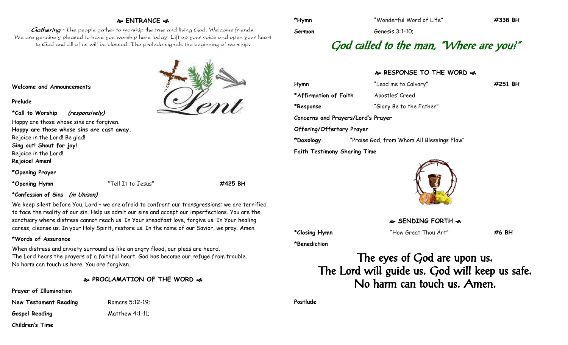### **ENTRANCE**

Gathering - The people gather to worship the true and living God. Welcome friends. We are genuinely pleased to have you worship here today. Lift up your voice and open your heart to God and all of us will be blessed. The prelude signals the beginning of worship.

**Welcome and Announcements**

#### **Prelude**

**\*Call to Worship (responsively)** Happy are those whose sins are forgiven. **Happy are those whose sins are cast away.** Rejoice in the Lord! Be glad! **Sing out! Shout for joy!** Rejoice in the Lord! **Rejoice! Amen!**

**\*Opening Prayer**

**\*Opening Hymn** "Tell It to Jesus" **#425 BH**

### **\*Confession of Sins (in Unison)**

We keep silent before You, Lord – we are afraid to confront our transgressions; we are terrified to face the reality of our sin. Help us admit our sins and accept our imperfections. You are the sanctuary where distress cannot reach us. In Your steadfast love, forgive us. In Your healing caress, cleanse us. In your Holy Spirit, restore us. In the name of our Savior, we pray. Amen.

### **\*Words of Assurance**

When distress and anxiety surround us like an angry flood, our pleas are heard. The Lord hears the prayers of a faithful heart. God has become our refuge from trouble. No harm can touch us here. You are forgiven**.**

- **PROCLAMATION OF THE WORD**
- **Prayer of Illumination**

**New Testament Reading** Romans 5:12-19; **Gospel Reading** Matthew 4:1-11; **Children's Time**

**Sermon** Genesis 3:1-10;

# God called to the man, "Where are you?"

## **RESPONSE TO THE WORD**  $\approx$

**Hymn** "Lead me to Calvary" **#251 BH** \*Affirmation of Faith Apostles' Creed **\*Response** "Glory Be to the Father" **Concerns and Prayers/Lord's Prayer Offering/Offertory Prayer \*Doxology** "Praise God, from Whom All Blessings Flow" **Faith Testimony Sharing Time**



**SENDING FORTH**  $\infty$ 

**\*Closing Hymn** "How Great Thou Art" **#6 BH**

**\*Benediction**

The eyes of God are upon us. The Lord will guide us. God will keep us safe. No harm can touch us. Amen.

**Postlude**

**\*Hymn** "Wonderful Word of Life" **#338 BH**